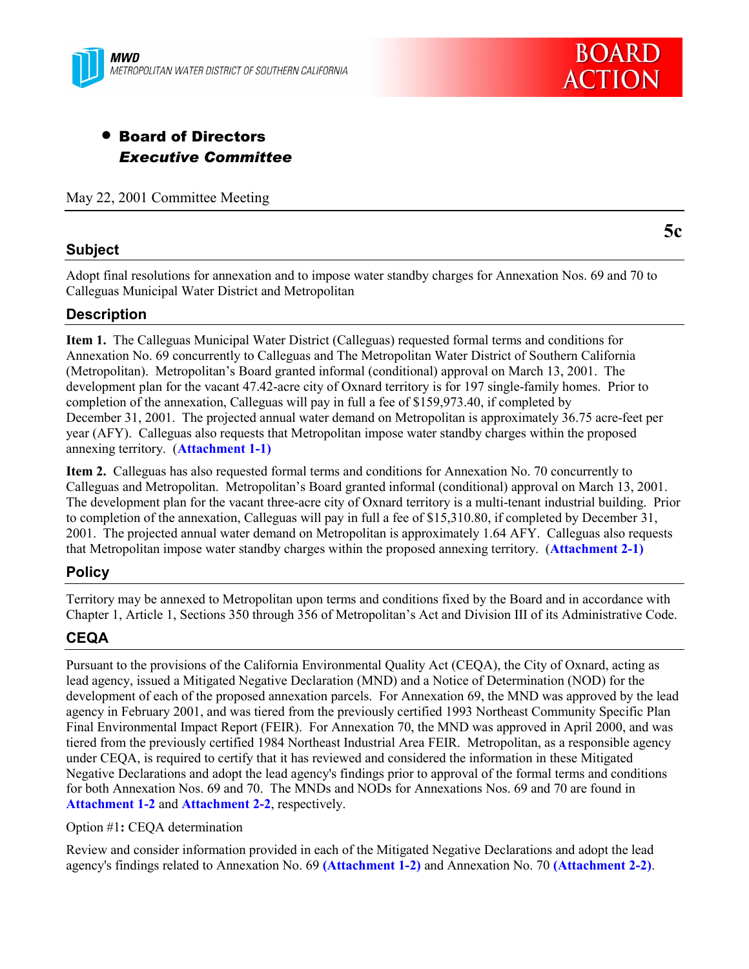



# • Board of Directors *Executive Committee*

May 22, 2001 Committee Meeting

# **Subject**

Adopt final resolutions for annexation and to impose water standby charges for Annexation Nos. 69 and 70 to Calleguas Municipal Water District and Metropolitan

# **Description**

**Item 1.** The Calleguas Municipal Water District (Calleguas) requested formal terms and conditions for Annexation No. 69 concurrently to Calleguas and The Metropolitan Water District of Southern California (Metropolitan). Metropolitanís Board granted informal (conditional) approval on March 13, 2001. The development plan for the vacant 47.42-acre city of Oxnard territory is for 197 single-family homes. Prior to completion of the annexation, Calleguas will pay in full a fee of \$159,973.40, if completed by December 31, 2001. The projected annual water demand on Metropolitan is approximately 36.75 acre-feet per year (AFY). Calleguas also requests that Metropolitan impose water standby charges within the proposed annexing territory. (**Attachment 1-1)**

**Item 2.** Calleguas has also requested formal terms and conditions for Annexation No. 70 concurrently to Calleguas and Metropolitan. Metropolitan's Board granted informal (conditional) approval on March 13, 2001. The development plan for the vacant three-acre city of Oxnard territory is a multi-tenant industrial building. Prior to completion of the annexation, Calleguas will pay in full a fee of \$15,310.80, if completed by December 31, 2001. The projected annual water demand on Metropolitan is approximately 1.64 AFY. Calleguas also requests that Metropolitan impose water standby charges within the proposed annexing territory. (**Attachment 2-1)**

# **Policy**

Territory may be annexed to Metropolitan upon terms and conditions fixed by the Board and in accordance with Chapter 1, Article 1, Sections 350 through 356 of Metropolitan's Act and Division III of its Administrative Code.

# **CEQA**

Pursuant to the provisions of the California Environmental Quality Act (CEQA), the City of Oxnard, acting as lead agency, issued a Mitigated Negative Declaration (MND) and a Notice of Determination (NOD) for the development of each of the proposed annexation parcels. For Annexation 69, the MND was approved by the lead agency in February 2001, and was tiered from the previously certified 1993 Northeast Community Specific Plan Final Environmental Impact Report (FEIR). For Annexation 70, the MND was approved in April 2000, and was tiered from the previously certified 1984 Northeast Industrial Area FEIR. Metropolitan, as a responsible agency under CEQA, is required to certify that it has reviewed and considered the information in these Mitigated Negative Declarations and adopt the lead agency's findings prior to approval of the formal terms and conditions for both Annexation Nos. 69 and 70. The MNDs and NODs for Annexations Nos. 69 and 70 are found in **Attachment 1-2** and **Attachment 2-2**, respectively.

#### Option #1**:** CEQA determination

Review and consider information provided in each of the Mitigated Negative Declarations and adopt the lead agency's findings related to Annexation No. 69 **(Attachment 1-2)** and Annexation No. 70 **(Attachment 2-2)**.

**5c**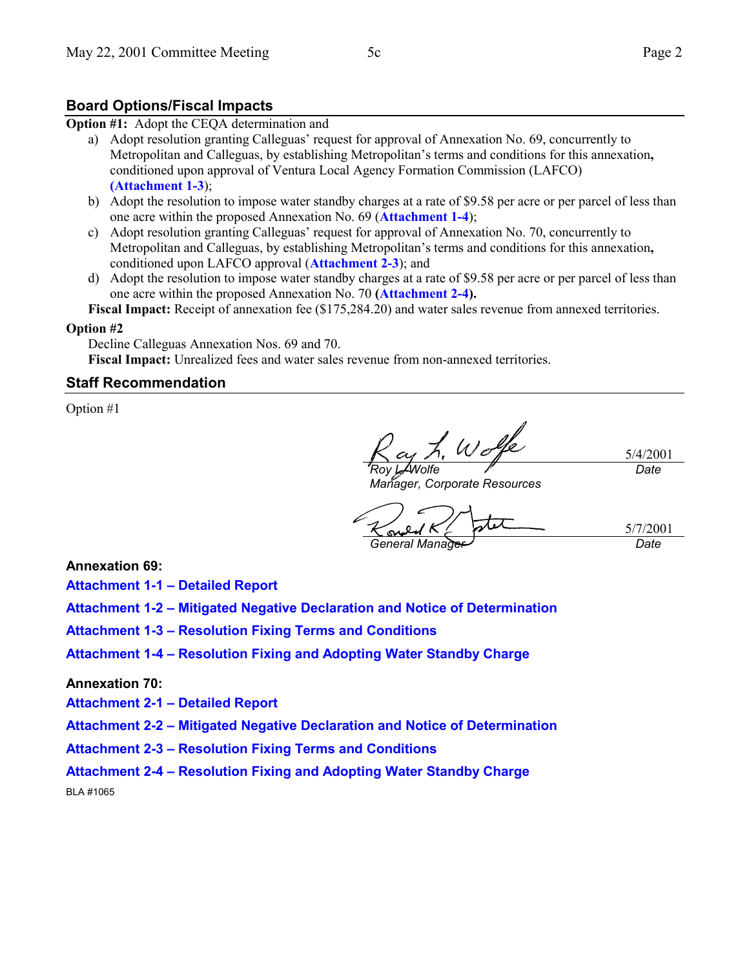### **Board Options/Fiscal Impacts**

**Option #1:** Adopt the CEQA determination and

- a) Adopt resolution granting Calleguas' request for approval of Annexation No. 69, concurrently to Metropolitan and Calleguas, by establishing Metropolitanís terms and conditions for this annexation**,** conditioned upon approval of Ventura Local Agency Formation Commission (LAFCO) **(Attachment 1-3**);
- b) Adopt the resolution to impose water standby charges at a rate of \$9.58 per acre or per parcel of less than one acre within the proposed Annexation No. 69 (**Attachment 1-4**);
- c) Adopt resolution granting Calleguasí request for approval of Annexation No. 70, concurrently to Metropolitan and Calleguas, by establishing Metropolitanís terms and conditions for this annexation**,** conditioned upon LAFCO approval (**Attachment 2-3**); and
- d) Adopt the resolution to impose water standby charges at a rate of \$9.58 per acre or per parcel of less than one acre within the proposed Annexation No. 70 **(Attachment 2-4).**

**Fiscal Impact:** Receipt of annexation fee (\$175,284.20) and water sales revenue from annexed territories.

#### **Option #2**

Decline Calleguas Annexation Nos. 69 and 70.

**Fiscal Impact:** Unrealized fees and water sales revenue from non-annexed territories.

#### **Staff Recommendation**

Option #1

L, We 5/4/2001 *Roy L. Wolfe Date*

*Manager, Corporate Resources*

5/7/2001 *General Manager Date*

**Annexation 69:**

**Attachment 1-1 - Detailed Report** 

Attachment 1-2 – Mitigated Negative Declaration and Notice of Determination

**Attachment 1-3 - Resolution Fixing Terms and Conditions** 

**Attachment 1-4 – Resolution Fixing and Adopting Water Standby Charge** 

#### **Annexation 70:**

**Attachment 2-1 - Detailed Report** 

**Attachment 2-2 - Mitigated Negative Declaration and Notice of Determination** 

Attachment 2-3 – Resolution Fixing Terms and Conditions

Attachment 2-4 – Resolution Fixing and Adopting Water Standby Charge

BLA #1065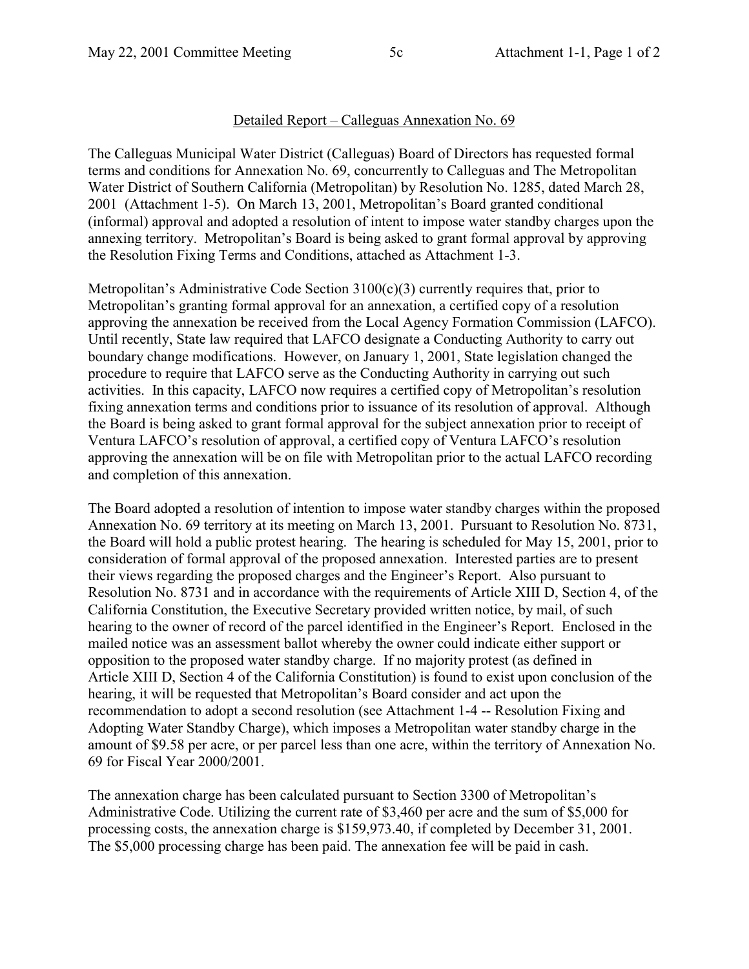# Detailed Report – Calleguas Annexation No. 69

The Calleguas Municipal Water District (Calleguas) Board of Directors has requested formal terms and conditions for Annexation No. 69, concurrently to Calleguas and The Metropolitan Water District of Southern California (Metropolitan) by Resolution No. 1285, dated March 28, 2001 (Attachment 1-5). On March 13, 2001, Metropolitan's Board granted conditional (informal) approval and adopted a resolution of intent to impose water standby charges upon the annexing territory. Metropolitan's Board is being asked to grant formal approval by approving the Resolution Fixing Terms and Conditions, attached as Attachment 1-3.

Metropolitan's Administrative Code Section  $3100(c)(3)$  currently requires that, prior to Metropolitan's granting formal approval for an annexation, a certified copy of a resolution approving the annexation be received from the Local Agency Formation Commission (LAFCO). Until recently, State law required that LAFCO designate a Conducting Authority to carry out boundary change modifications. However, on January 1, 2001, State legislation changed the procedure to require that LAFCO serve as the Conducting Authority in carrying out such activities. In this capacity, LAFCO now requires a certified copy of Metropolitan's resolution fixing annexation terms and conditions prior to issuance of its resolution of approval. Although the Board is being asked to grant formal approval for the subject annexation prior to receipt of Ventura LAFCO's resolution of approval, a certified copy of Ventura LAFCO's resolution approving the annexation will be on file with Metropolitan prior to the actual LAFCO recording and completion of this annexation.

The Board adopted a resolution of intention to impose water standby charges within the proposed Annexation No. 69 territory at its meeting on March 13, 2001. Pursuant to Resolution No. 8731, the Board will hold a public protest hearing. The hearing is scheduled for May 15, 2001, prior to consideration of formal approval of the proposed annexation. Interested parties are to present their views regarding the proposed charges and the Engineer's Report. Also pursuant to Resolution No. 8731 and in accordance with the requirements of Article XIII D, Section 4, of the California Constitution, the Executive Secretary provided written notice, by mail, of such hearing to the owner of record of the parcel identified in the Engineer's Report. Enclosed in the mailed notice was an assessment ballot whereby the owner could indicate either support or opposition to the proposed water standby charge. If no majority protest (as defined in Article XIII D, Section 4 of the California Constitution) is found to exist upon conclusion of the hearing, it will be requested that Metropolitan's Board consider and act upon the recommendation to adopt a second resolution (see Attachment 1-4 -- Resolution Fixing and Adopting Water Standby Charge), which imposes a Metropolitan water standby charge in the amount of \$9.58 per acre, or per parcel less than one acre, within the territory of Annexation No. 69 for Fiscal Year 2000/2001.

The annexation charge has been calculated pursuant to Section 3300 of Metropolitan's Administrative Code. Utilizing the current rate of \$3,460 per acre and the sum of \$5,000 for processing costs, the annexation charge is \$159,973.40, if completed by December 31, 2001. The \$5,000 processing charge has been paid. The annexation fee will be paid in cash.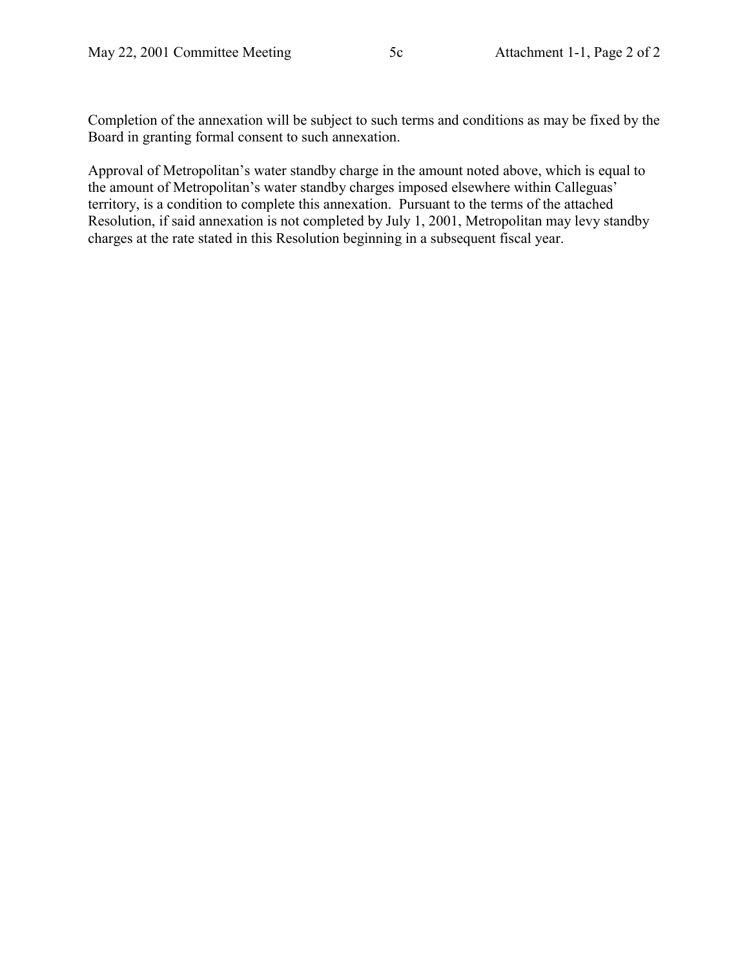Completion of the annexation will be subject to such terms and conditions as may be fixed by the Board in granting formal consent to such annexation.

Approval of Metropolitan's water standby charge in the amount noted above, which is equal to the amount of Metropolitan's water standby charges imposed elsewhere within Calleguas' territory, is a condition to complete this annexation. Pursuant to the terms of the attached Resolution, if said annexation is not completed by July 1, 2001, Metropolitan may levy standby charges at the rate stated in this Resolution beginning in a subsequent fiscal year.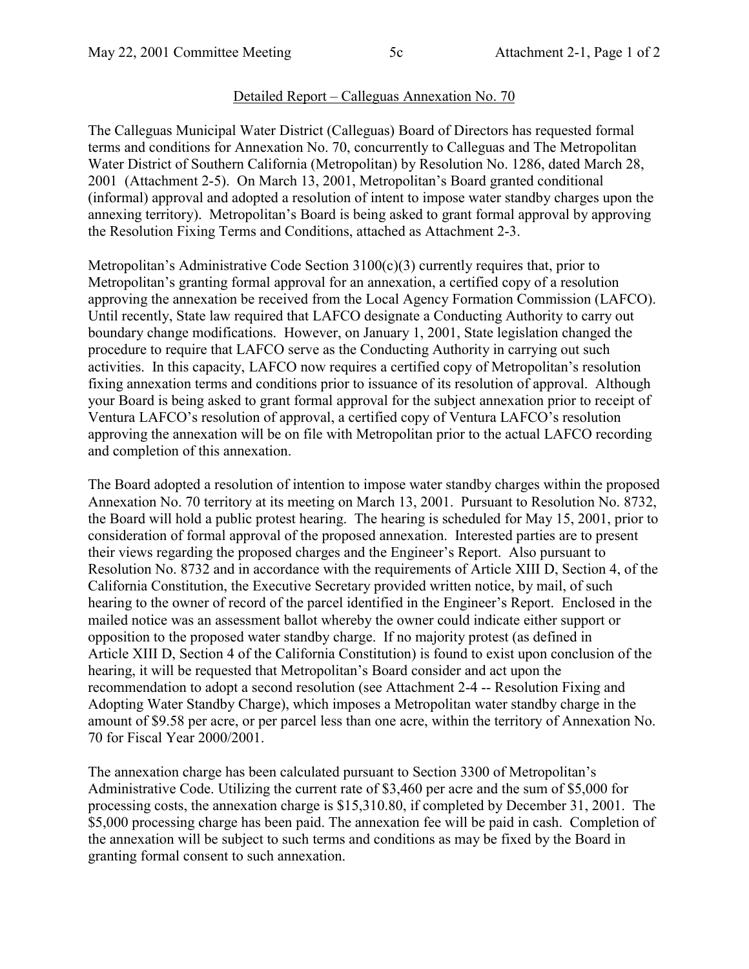# Detailed Report – Calleguas Annexation No. 70

The Calleguas Municipal Water District (Calleguas) Board of Directors has requested formal terms and conditions for Annexation No. 70, concurrently to Calleguas and The Metropolitan Water District of Southern California (Metropolitan) by Resolution No. 1286, dated March 28, 2001 (Attachment 2-5). On March 13, 2001, Metropolitan's Board granted conditional (informal) approval and adopted a resolution of intent to impose water standby charges upon the annexing territory). Metropolitan's Board is being asked to grant formal approval by approving the Resolution Fixing Terms and Conditions, attached as Attachment 2-3.

Metropolitan's Administrative Code Section  $3100(c)(3)$  currently requires that, prior to Metropolitan's granting formal approval for an annexation, a certified copy of a resolution approving the annexation be received from the Local Agency Formation Commission (LAFCO). Until recently, State law required that LAFCO designate a Conducting Authority to carry out boundary change modifications. However, on January 1, 2001, State legislation changed the procedure to require that LAFCO serve as the Conducting Authority in carrying out such activities. In this capacity, LAFCO now requires a certified copy of Metropolitan's resolution fixing annexation terms and conditions prior to issuance of its resolution of approval. Although your Board is being asked to grant formal approval for the subject annexation prior to receipt of Ventura LAFCO's resolution of approval, a certified copy of Ventura LAFCO's resolution approving the annexation will be on file with Metropolitan prior to the actual LAFCO recording and completion of this annexation.

The Board adopted a resolution of intention to impose water standby charges within the proposed Annexation No. 70 territory at its meeting on March 13, 2001. Pursuant to Resolution No. 8732, the Board will hold a public protest hearing. The hearing is scheduled for May 15, 2001, prior to consideration of formal approval of the proposed annexation. Interested parties are to present their views regarding the proposed charges and the Engineer's Report. Also pursuant to Resolution No. 8732 and in accordance with the requirements of Article XIII D, Section 4, of the California Constitution, the Executive Secretary provided written notice, by mail, of such hearing to the owner of record of the parcel identified in the Engineer's Report. Enclosed in the mailed notice was an assessment ballot whereby the owner could indicate either support or opposition to the proposed water standby charge. If no majority protest (as defined in Article XIII D, Section 4 of the California Constitution) is found to exist upon conclusion of the hearing, it will be requested that Metropolitan's Board consider and act upon the recommendation to adopt a second resolution (see Attachment 2-4 -- Resolution Fixing and Adopting Water Standby Charge), which imposes a Metropolitan water standby charge in the amount of \$9.58 per acre, or per parcel less than one acre, within the territory of Annexation No. 70 for Fiscal Year 2000/2001.

The annexation charge has been calculated pursuant to Section 3300 of Metropolitan's Administrative Code. Utilizing the current rate of \$3,460 per acre and the sum of \$5,000 for processing costs, the annexation charge is \$15,310.80, if completed by December 31, 2001. The \$5,000 processing charge has been paid. The annexation fee will be paid in cash. Completion of the annexation will be subject to such terms and conditions as may be fixed by the Board in granting formal consent to such annexation.